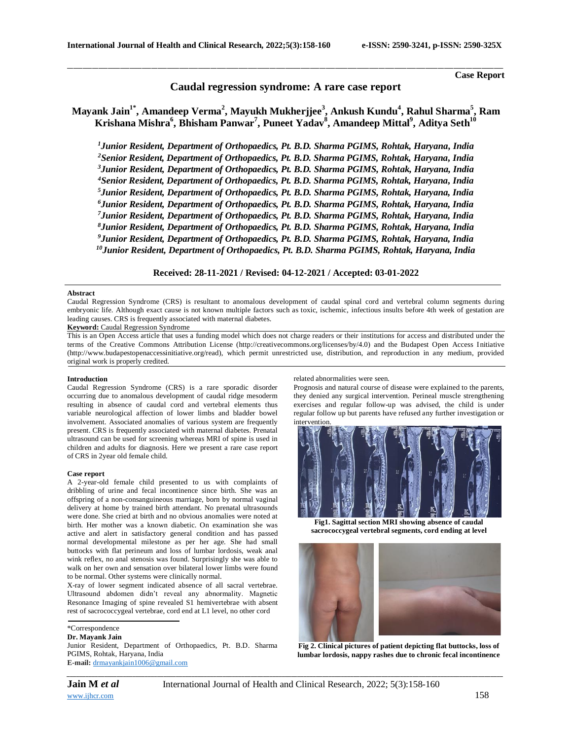**Case Report**

# **Caudal regression syndrome: A rare case report**

\_\_\_\_\_\_\_\_\_\_\_\_\_\_\_\_\_\_\_\_\_\_\_\_\_\_\_\_\_\_\_\_\_\_\_\_\_\_\_\_\_\_\_\_\_\_\_\_\_\_\_\_\_\_\_\_\_\_\_\_\_\_\_\_\_\_\_\_\_\_\_\_\_\_\_\_\_\_\_\_\_\_\_\_\_\_\_\_\_\_\_\_\_\_\_\_\_\_\_\_\_\_\_\_\_\_\_\_\_\_\_\_\_\_\_\_\_\_\_\_\_\_\_\_\_\_\_\_\_\_\_\_\_\_\_\_\_\_\_\_

# **Mayank Jain1\* , Amandeep Verma<sup>2</sup> , Mayukh Mukherjjee<sup>3</sup> , Ankush Kundu<sup>4</sup> , Rahul Sharma<sup>5</sup> , Ram Krishana Mishra<sup>6</sup> , Bhisham Panwar<sup>7</sup> , Puneet Yadav<sup>8</sup> , Amandeep Mittal<sup>9</sup> , Aditya Seth<sup>10</sup>**

*Junior Resident, Department of Orthopaedics, Pt. B.D. Sharma PGIMS, Rohtak, Haryana, India Senior Resident, Department of Orthopaedics, Pt. B.D. Sharma PGIMS, Rohtak, Haryana, India Junior Resident, Department of Orthopaedics, Pt. B.D. Sharma PGIMS, Rohtak, Haryana, India Senior Resident, Department of Orthopaedics, Pt. B.D. Sharma PGIMS, Rohtak, Haryana, India Junior Resident, Department of Orthopaedics, Pt. B.D. Sharma PGIMS, Rohtak, Haryana, India Junior Resident, Department of Orthopaedics, Pt. B.D. Sharma PGIMS, Rohtak, Haryana, India Junior Resident, Department of Orthopaedics, Pt. B.D. Sharma PGIMS, Rohtak, Haryana, India Junior Resident, Department of Orthopaedics, Pt. B.D. Sharma PGIMS, Rohtak, Haryana, India Junior Resident, Department of Orthopaedics, Pt. B.D. Sharma PGIMS, Rohtak, Haryana, India Junior Resident, Department of Orthopaedics, Pt. B.D. Sharma PGIMS, Rohtak, Haryana, India*

# **Received: 28-11-2021 / Revised: 04-12-2021 / Accepted: 03-01-2022**

### **Abstract**

Caudal Regression Syndrome (CRS) is resultant to anomalous development of caudal spinal cord and vertebral column segments during embryonic life. Although exact cause is not known multiple factors such as toxic, ischemic, infectious insults before 4th week of gestation are leading causes. CRS is frequently associated with maternal diabetes.

# **Keyword:** Caudal Regression Syndrome

This is an Open Access article that uses a funding model which does not charge readers or their institutions for access and distributed under the terms of the Creative Commons Attribution License (http://creativecommons.org/licenses/by/4.0) and the Budapest Open Access Initiative (http://www.budapestopenaccessinitiative.org/read), which permit unrestricted use, distribution, and reproduction in any medium, provided original work is properly credited.

### **Introduction**

Caudal Regression Syndrome (CRS) is a rare sporadic disorder occurring due to anomalous development of caudal ridge mesoderm resulting in absence of caudal cord and vertebral elements thus variable neurological affection of lower limbs and bladder bowel involvement. Associated anomalies of various system are frequently present. CRS is frequently associated with maternal diabetes. Prenatal ultrasound can be used for screening whereas MRI of spine is used in children and adults for diagnosis. Here we present a rare case report of CRS in 2year old female child.

#### **Case report**

A 2-year-old female child presented to us with complaints of dribbling of urine and fecal incontinence since birth. She was an offspring of a non-consanguineous marriage, born by normal vaginal delivery at home by trained birth attendant. No prenatal ultrasounds were done. She cried at birth and no obvious anomalies were noted at birth. Her mother was a known diabetic. On examination she was active and alert in satisfactory general condition and has passed normal developmental milestone as per her age. She had small buttocks with flat perineum and loss of lumbar lordosis, weak anal wink reflex, no anal stenosis was found. Surprisingly she was able to walk on her own and sensation over bilateral lower limbs were found to be normal. Other systems were clinically normal.

X-ray of lower segment indicated absence of all sacral vertebrae. Ultrasound abdomen didn't reveal any abnormality. Magnetic Resonance Imaging of spine revealed S1 hemivertebrae with absent rest of sacrococcygeal vertebrae, cord end at L1 level, no other cord

\*Correspondence

# **Dr. Mayank Jain**

Junior Resident, Department of Orthopaedics, Pt. B.D. Sharma PGIMS, Rohtak, Haryana, India **E-mail:** [drmayankjain1006@gmail.com](mailto:drmayankjain1006@gmail.com)

#### related abnormalities were seen.

Prognosis and natural course of disease were explained to the parents, they denied any surgical intervention. Perineal muscle strengthening exercises and regular follow-up was advised, the child is under regular follow up but parents have refused any further investigation or intervention



**Fig1. Sagittal section MRI showing absence of caudal sacrococcygeal vertebral segments, cord ending at level**



**Fig 2. Clinical pictures of patient depicting flat buttocks, loss of lumbar lordosis, nappy rashes due to chronic fecal incontinence**

*\_\_\_\_\_\_\_\_\_\_\_\_\_\_\_\_\_\_\_\_\_\_\_\_\_\_\_\_\_\_\_\_\_\_\_\_\_\_\_\_\_\_\_\_\_\_\_\_\_\_\_\_\_\_\_\_\_\_\_\_\_\_\_\_\_\_\_\_\_\_\_\_\_\_\_\_\_\_\_\_\_\_\_\_\_\_\_\_\_\_\_\_\_\_\_\_\_\_\_\_\_\_\_\_\_\_\_\_\_\_\_\_\_\_\_\_\_\_\_\_\_\_\_\_\_\_\_\_\_\_\_\_\_\_\_\_\_\_\_\_*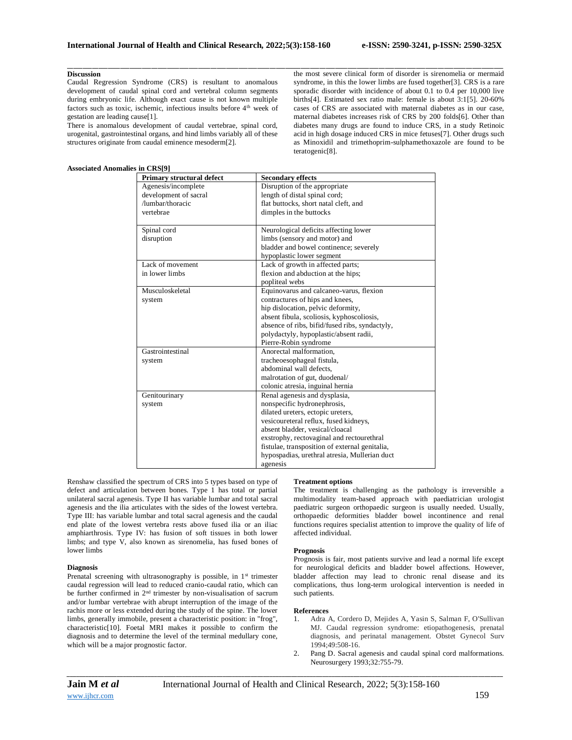# **Discussion**

Caudal Regression Syndrome (CRS) is resultant to anomalous development of caudal spinal cord and vertebral column segments during embryonic life. Although exact cause is not known multiple factors such as toxic, ischemic, infectious insults before 4<sup>th</sup> week of gestation are leading cause[1].

There is anomalous development of caudal vertebrae, spinal cord, urogenital, gastrointestinal organs, and hind limbs variably all of these structures originate from caudal eminence mesoderm[2].

# **Associated Anomalies in CRS[9]**

the most severe clinical form of disorder is sirenomelia or mermaid syndrome, in this the lower limbs are fused together[3]. CRS is a rare sporadic disorder with incidence of about 0.1 to 0.4 per 10,000 live births[4]. Estimated sex ratio male: female is about 3:1[5]. 20-60% cases of CRS are associated with maternal diabetes as in our case, maternal diabetes increases risk of CRS by 200 folds[6]. Other than diabetes many drugs are found to induce CRS, in a study Retinoic acid in high dosage induced CRS in mice fetuses[7]. Other drugs such as Minoxidil and trimethoprim-sulphamethoxazole are found to be teratogenic[8].

| $m \cos \nu$<br>Primary structural defect | <b>Secondary effects</b>                       |
|-------------------------------------------|------------------------------------------------|
| Agenesis/incomplete                       | Disruption of the appropriate                  |
| development of sacral                     | length of distal spinal cord;                  |
| /lumbar/thoracic                          | flat buttocks, short natal cleft, and          |
| vertebrae                                 | dimples in the buttocks                        |
|                                           |                                                |
| Spinal cord                               | Neurological deficits affecting lower          |
| disruption                                | limbs (sensory and motor) and                  |
|                                           | bladder and bowel continence; severely         |
|                                           | hypoplastic lower segment                      |
| Lack of movement                          | Lack of growth in affected parts;              |
| in lower limbs                            | flexion and abduction at the hips;             |
|                                           | popliteal webs                                 |
| Musculoskeletal                           | Equinovarus and calcaneo-varus, flexion        |
| system                                    | contractures of hips and knees,                |
|                                           | hip dislocation, pelvic deformity,             |
|                                           | absent fibula, scoliosis, kyphoscoliosis,      |
|                                           | absence of ribs, bifid/fused ribs, syndactyly, |
|                                           | polydactyly, hypoplastic/absent radii,         |
|                                           | Pierre-Robin syndrome                          |
| Gastrointestinal                          | Anorectal malformation.                        |
| system                                    | tracheoesophageal fistula,                     |
|                                           | abdominal wall defects.                        |
|                                           | malrotation of gut, duodenal/                  |
|                                           | colonic atresia, inguinal hernia               |
| Genitourinary                             | Renal agenesis and dysplasia,                  |
| system                                    | nonspecific hydronephrosis,                    |
|                                           | dilated ureters, ectopic ureters,              |
|                                           | vesicoureteral reflux, fused kidneys,          |
|                                           | absent bladder, vesical/cloacal                |
|                                           | exstrophy, rectovaginal and rectourethral      |
|                                           | fistulae, transposition of external genitalia, |
|                                           | hypospadias, urethral atresia, Mullerian duct  |
|                                           | agenesis                                       |

\_\_\_\_\_\_\_\_\_\_\_\_\_\_\_\_\_\_\_\_\_\_\_\_\_\_\_\_\_\_\_\_\_\_\_\_\_\_\_\_\_\_\_\_\_\_\_\_\_\_\_\_\_\_\_\_\_\_\_\_\_\_\_\_\_\_\_\_\_\_\_\_\_\_\_\_\_\_\_\_\_\_\_\_\_\_\_\_\_\_\_\_\_\_\_\_\_\_\_\_\_\_\_\_\_\_\_\_\_\_\_\_\_\_\_\_\_\_\_\_\_\_\_\_\_\_\_\_\_\_\_\_\_\_\_\_\_\_\_\_

Renshaw classified the spectrum of CRS into 5 types based on type of defect and articulation between bones. Type 1 has total or partial unilateral sacral agenesis. Type II has variable lumbar and total sacral agenesis and the ilia articulates with the sides of the lowest vertebra. Type III: has variable lumbar and total sacral agenesis and the caudal end plate of the lowest vertebra rests above fused ilia or an iliac amphiarthrosis. Type IV: has fusion of soft tissues in both lower limbs; and type V, also known as sirenomelia, has fused bones of lower limbs

# **Diagnosis**

Prenatal screening with ultrasonography is possible, in 1<sup>st</sup> trimester caudal regression will lead to reduced cranio-caudal ratio, which can be further confirmed in 2nd trimester by non-visualisation of sacrum and/or lumbar vertebrae with abrupt interruption of the image of the rachis more or less extended during the study of the spine. The lower limbs, generally immobile, present a characteristic position: in "frog", characteristic[10]. Foetal MRI makes it possible to confirm the diagnosis and to determine the level of the terminal medullary cone, which will be a major prognostic factor.

# **Treatment options**

The treatment is challenging as the pathology is irreversible a multimodality team-based approach with paediatrician urologist paediatric surgeon orthopaedic surgeon is usually needed. Usually, orthopaedic deformities bladder bowel incontinence and renal functions requires specialist attention to improve the quality of life of affected individual.

# **Prognosis**

Prognosis is fair, most patients survive and lead a normal life except for neurological deficits and bladder bowel affections. However, bladder affection may lead to chronic renal disease and its complications, thus long-term urological intervention is needed in such patients.

### **References**

- 1. Adra A, Cordero D, Mejides A, Yasin S, Salman F, O'Sullivan MJ. Caudal regression syndrome: etiopathogenesis, prenatal diagnosis, and perinatal management. Obstet Gynecol Surv 1994;49:508-16.
- 2. Pang D. Sacral agenesis and caudal spinal cord malformations. Neurosurgery 1993;32:755-79.

*\_\_\_\_\_\_\_\_\_\_\_\_\_\_\_\_\_\_\_\_\_\_\_\_\_\_\_\_\_\_\_\_\_\_\_\_\_\_\_\_\_\_\_\_\_\_\_\_\_\_\_\_\_\_\_\_\_\_\_\_\_\_\_\_\_\_\_\_\_\_\_\_\_\_\_\_\_\_\_\_\_\_\_\_\_\_\_\_\_\_\_\_\_\_\_\_\_\_\_\_\_\_\_\_\_\_\_\_\_\_\_\_\_\_\_\_\_\_\_\_\_\_\_\_\_\_\_\_\_\_\_\_\_\_\_\_\_\_\_\_*